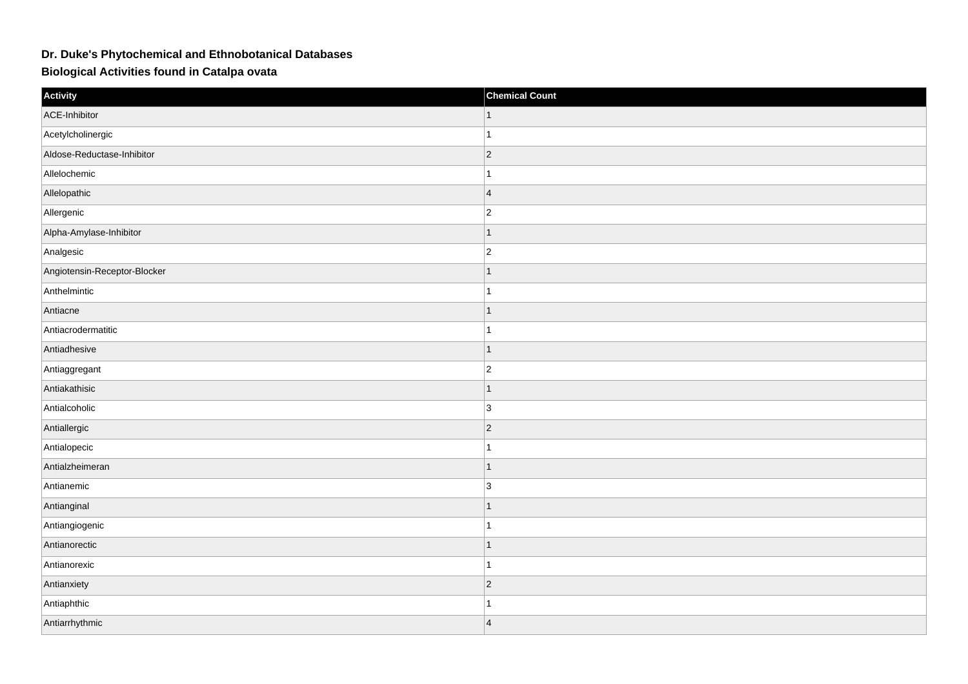## **Dr. Duke's Phytochemical and Ethnobotanical Databases**

**Biological Activities found in Catalpa ovata**

| Activity                     | <b>Chemical Count</b> |
|------------------------------|-----------------------|
| ACE-Inhibitor                |                       |
| Acetylcholinergic            |                       |
| Aldose-Reductase-Inhibitor   | $ 2\rangle$           |
| Allelochemic                 |                       |
| Allelopathic                 | $\overline{4}$        |
| Allergenic                   | $\overline{2}$        |
| Alpha-Amylase-Inhibitor      |                       |
| Analgesic                    | $\overline{c}$        |
| Angiotensin-Receptor-Blocker |                       |
| Anthelmintic                 |                       |
| Antiacne                     |                       |
| Antiacrodermatitic           |                       |
| Antiadhesive                 |                       |
| Antiaggregant                | $\overline{c}$        |
| Antiakathisic                |                       |
| Antialcoholic                | $\overline{3}$        |
| Antiallergic                 | $\vert$ 2             |
| Antialopecic                 |                       |
| Antialzheimeran              |                       |
| Antianemic                   | 3                     |
| Antianginal                  |                       |
| Antiangiogenic               |                       |
| Antianorectic                |                       |
| Antianorexic                 |                       |
| Antianxiety                  | $\overline{2}$        |
| Antiaphthic                  |                       |
| Antiarrhythmic               | $\vert 4 \vert$       |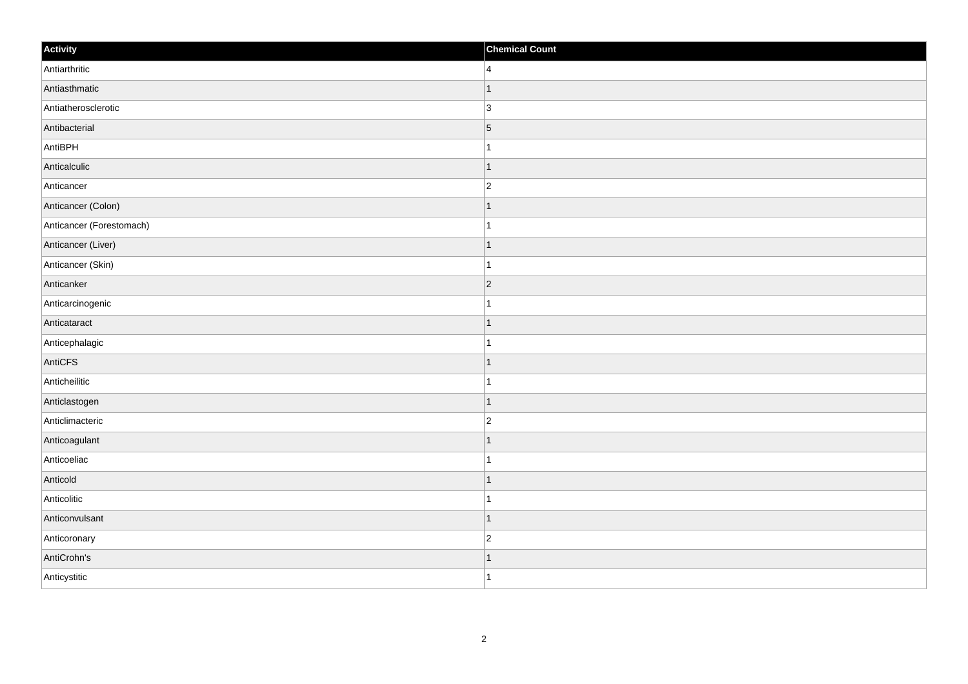| Activity                 | <b>Chemical Count</b>    |
|--------------------------|--------------------------|
| Antiarthritic            | $\overline{4}$           |
| Antiasthmatic            |                          |
| Antiatherosclerotic      | $\overline{3}$           |
| Antibacterial            | $\overline{5}$           |
| AntiBPH                  | 1                        |
| Anticalculic             |                          |
| Anticancer               | $\overline{c}$           |
| Anticancer (Colon)       |                          |
| Anticancer (Forestomach) |                          |
| Anticancer (Liver)       | 1                        |
| Anticancer (Skin)        | 1                        |
| Anticanker               | 2                        |
| Anticarcinogenic         |                          |
| Anticataract             |                          |
| Anticephalagic           |                          |
| AntiCFS                  | 1                        |
| Anticheilitic            | 1                        |
| Anticlastogen            | $\overline{\phantom{a}}$ |
| Anticlimacteric          | $\overline{2}$           |
| Anticoagulant            |                          |
| Anticoeliac              |                          |
| Anticold                 | $\overline{\phantom{a}}$ |
| Anticolitic              |                          |
| Anticonvulsant           | $\overline{\phantom{a}}$ |
| Anticoronary             | $\overline{c}$           |
| AntiCrohn's              |                          |
| Anticystitic             | 1                        |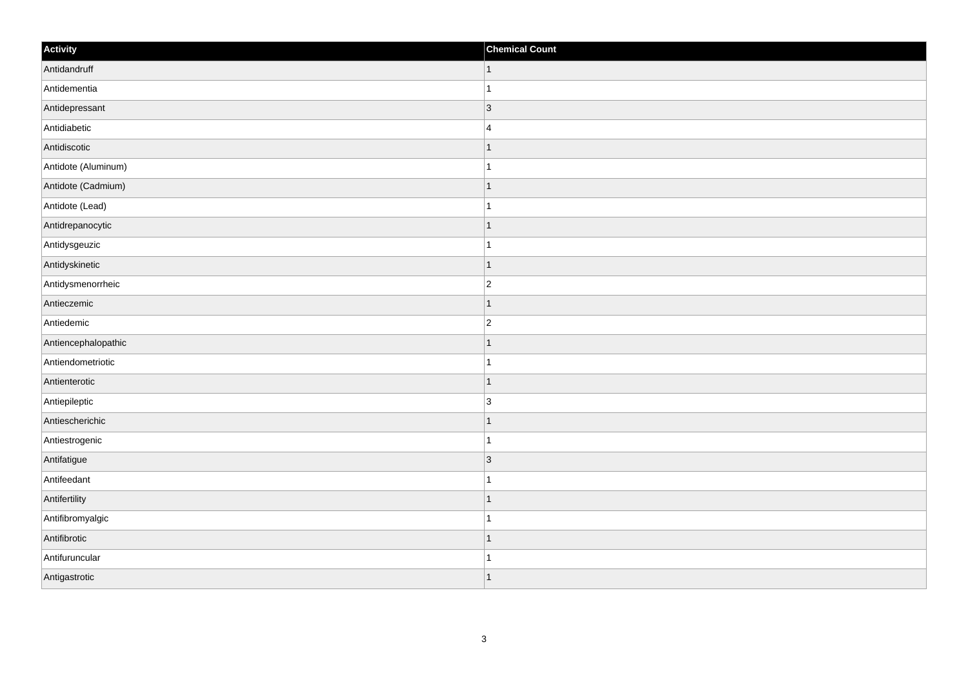| Activity            | <b>Chemical Count</b> |
|---------------------|-----------------------|
| Antidandruff        | $\vert$ 1             |
| Antidementia        | $\overline{1}$        |
| Antidepressant      | 3                     |
| Antidiabetic        | $\overline{4}$        |
| Antidiscotic        |                       |
| Antidote (Aluminum) |                       |
| Antidote (Cadmium)  | $\mathbf{1}$          |
| Antidote (Lead)     | $\mathbf{1}$          |
| Antidrepanocytic    | $\mathbf 1$           |
| Antidysgeuzic       | $\mathbf{1}$          |
| Antidyskinetic      | $\overline{1}$        |
| Antidysmenorrheic   | $\overline{c}$        |
| Antieczemic         | $\vert$ 1             |
| Antiedemic          | $\overline{c}$        |
| Antiencephalopathic |                       |
| Antiendometriotic   | $\mathbf{1}$          |
| Antienterotic       | $\mathbf 1$           |
| Antiepileptic       | 3                     |
| Antiescherichic     | $\mathbf{1}$          |
| Antiestrogenic      | $\mathbf{1}$          |
| Antifatigue         | 3                     |
| Antifeedant         | $\mathbf{1}$          |
| Antifertility       | $\mathbf 1$           |
| Antifibromyalgic    | $\mathbf{1}$          |
| Antifibrotic        | $\mathbf{1}$          |
| Antifuruncular      | -1                    |
| Antigastrotic       | 1                     |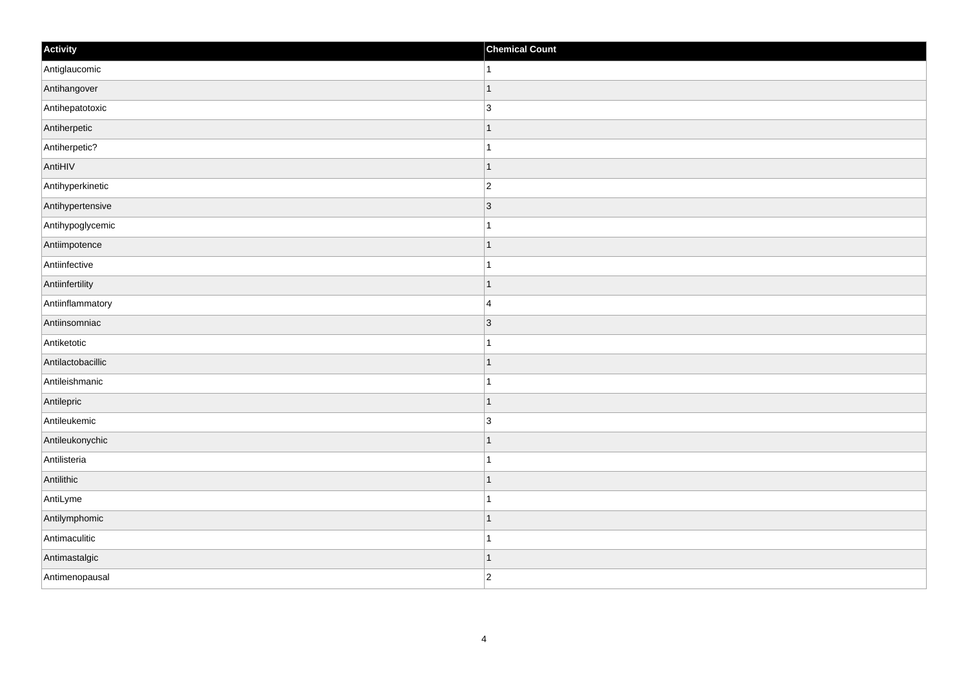| Activity          | <b>Chemical Count</b>    |
|-------------------|--------------------------|
| Antiglaucomic     | 1.                       |
| Antihangover      | 1                        |
| Antihepatotoxic   | $\overline{3}$           |
| Antiherpetic      | ∣ 1                      |
| Antiherpetic?     | $\overline{1}$           |
| AntiHIV           | f.                       |
| Antihyperkinetic  | $\overline{2}$           |
| Antihypertensive  | $\vert$ 3                |
| Antihypoglycemic  |                          |
| Antiimpotence     | 1                        |
| Antiinfective     | -1                       |
| Antiinfertility   | $\overline{\phantom{a}}$ |
| Antiinflammatory  | $\overline{4}$           |
| Antiinsomniac     | $\vert$ 3                |
| Antiketotic       |                          |
| Antilactobacillic | $\vert$ 1                |
| Antileishmanic    | -1                       |
| Antilepric        | $\overline{\phantom{a}}$ |
| Antileukemic      | $\overline{3}$           |
| Antileukonychic   | -1                       |
| Antilisteria      |                          |
| Antilithic        | $\overline{\phantom{a}}$ |
| AntiLyme          | -1                       |
| Antilymphomic     | $\overline{\phantom{a}}$ |
| Antimaculitic     | -1                       |
| Antimastalgic     | 11                       |
| Antimenopausal    | $\overline{2}$           |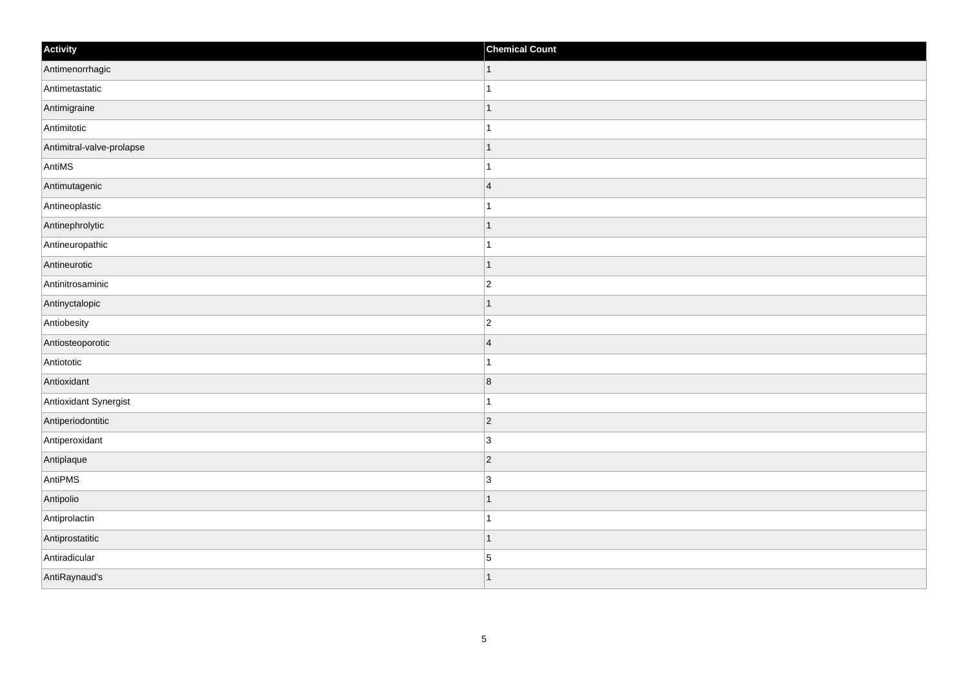| Activity                  | <b>Chemical Count</b>    |
|---------------------------|--------------------------|
| Antimenorrhagic           | $\vert$ 1                |
| Antimetastatic            |                          |
| Antimigraine              |                          |
| Antimitotic               |                          |
| Antimitral-valve-prolapse | $\overline{\phantom{a}}$ |
| AntiMS                    |                          |
| Antimutagenic             | $\overline{4}$           |
| Antineoplastic            | 1                        |
| Antinephrolytic           |                          |
| Antineuropathic           |                          |
| Antineurotic              | -1                       |
| Antinitrosaminic          | $\overline{2}$           |
| Antinyctalopic            | 1                        |
| Antiobesity               | $\overline{2}$           |
| Antiosteoporotic          | $\vert 4 \vert$          |
| Antiototic                |                          |
| Antioxidant               | $\overline{8}$           |
| Antioxidant Synergist     |                          |
| Antiperiodontitic         | $ 2\rangle$              |
| Antiperoxidant            | $\overline{3}$           |
| Antiplaque                | $\vert$ 2                |
| AntiPMS                   | $\overline{3}$           |
| Antipolio                 | 1                        |
| Antiprolactin             |                          |
| Antiprostatitic           | 1                        |
| Antiradicular             | $\overline{5}$           |
| AntiRaynaud's             |                          |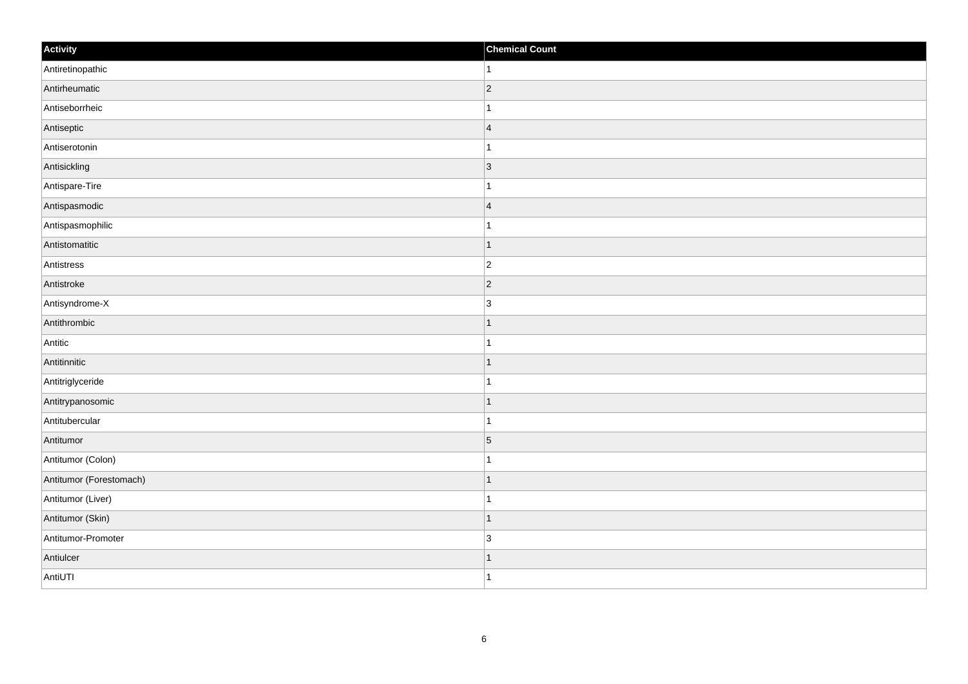| Activity                | <b>Chemical Count</b> |
|-------------------------|-----------------------|
| Antiretinopathic        | $\overline{1}$        |
| Antirheumatic           | $ 2\rangle$           |
| Antiseborrheic          |                       |
| Antiseptic              | $\overline{4}$        |
| Antiserotonin           | $\mathbf{1}$          |
| Antisickling            | 3                     |
| Antispare-Tire          | 1                     |
| Antispasmodic           | $\overline{4}$        |
| Antispasmophilic        |                       |
| Antistomatitic          | $\vert$ 1             |
| Antistress              | $\overline{c}$        |
| Antistroke              | $ 2\rangle$           |
| Antisyndrome-X          | $\overline{3}$        |
| Antithrombic            | $\mathbf 1$           |
| Antitic                 | 1                     |
| Antitinnitic            | $\vert$ 1             |
| Antitriglyceride        | $\mathbf 1$           |
| Antitrypanosomic        | 1                     |
| Antitubercular          | 1                     |
| Antitumor               | $\vert$ 5             |
| Antitumor (Colon)       | $\overline{1}$        |
| Antitumor (Forestomach) | $\vert$ 1             |
| Antitumor (Liver)       | $\mathbf 1$           |
| Antitumor (Skin)        | $\vert$ 1             |
| Antitumor-Promoter      | 3                     |
| Antiulcer               | 1                     |
| AntiUTI                 | $\overline{1}$        |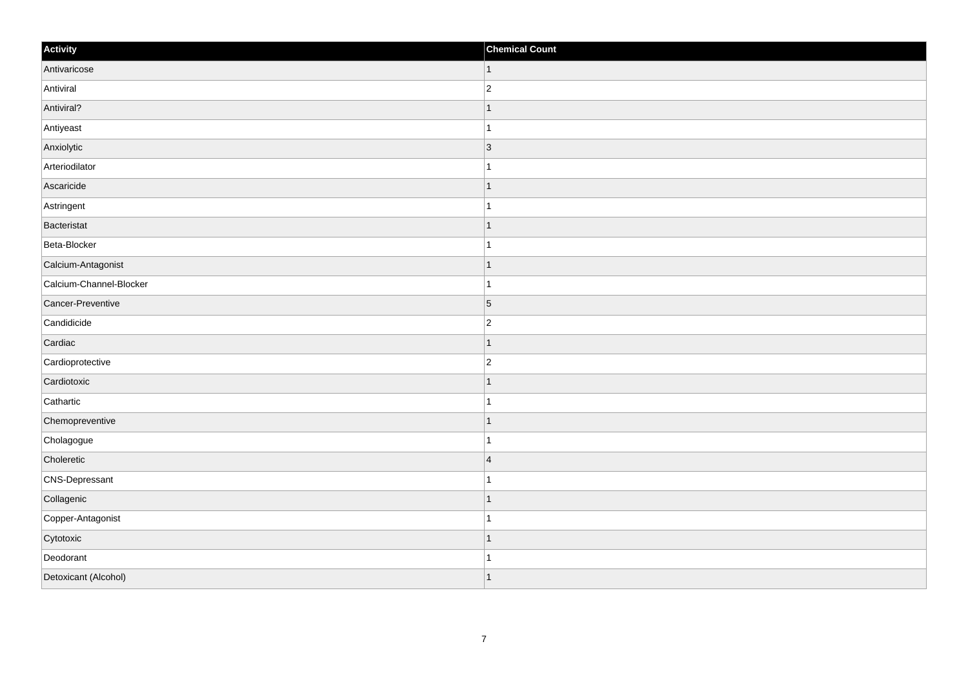| Activity                | <b>Chemical Count</b> |
|-------------------------|-----------------------|
| Antivaricose            | $\vert$ 1             |
| Antiviral               | $\overline{2}$        |
| Antiviral?              |                       |
| Antiyeast               |                       |
| Anxiolytic              | $\overline{3}$        |
| Arteriodilator          |                       |
| Ascaricide              | -1                    |
| Astringent              | -1                    |
| Bacteristat             |                       |
| Beta-Blocker            |                       |
| Calcium-Antagonist      |                       |
| Calcium-Channel-Blocker |                       |
| Cancer-Preventive       | $\overline{5}$        |
| Candidicide             | $\overline{2}$        |
| Cardiac                 |                       |
| Cardioprotective        | $\overline{c}$        |
| Cardiotoxic             |                       |
| Cathartic               |                       |
| Chemopreventive         | -1                    |
| Cholagogue              | 1                     |
| Choleretic              | $\overline{4}$        |
| CNS-Depressant          |                       |
| Collagenic              |                       |
| Copper-Antagonist       |                       |
| Cytotoxic               | -1                    |
| Deodorant               | -1                    |
| Detoxicant (Alcohol)    | 1                     |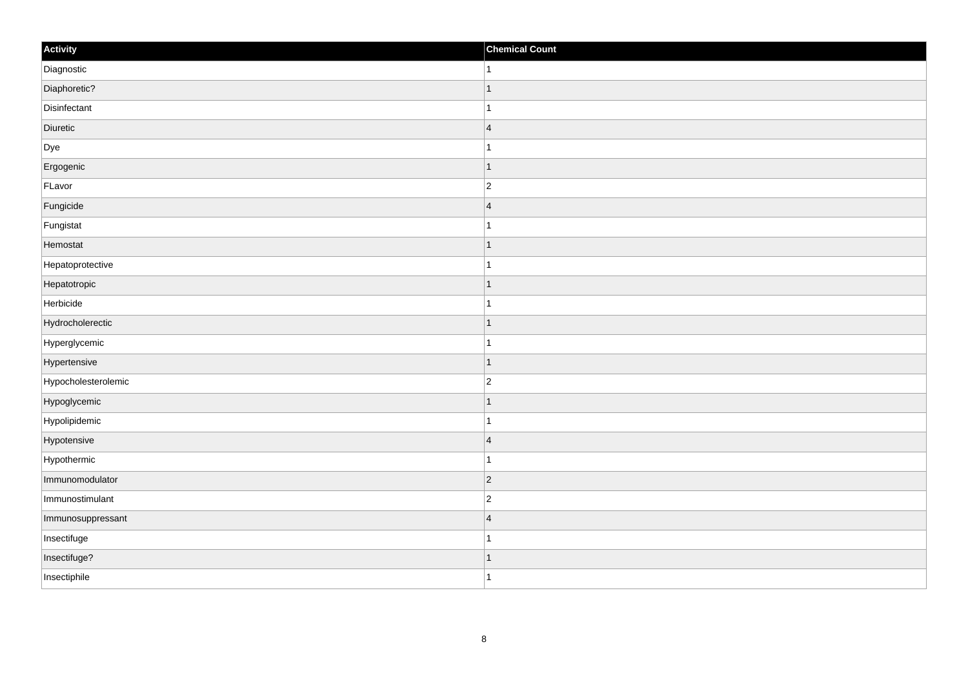| Activity            | <b>Chemical Count</b> |
|---------------------|-----------------------|
| Diagnostic          | 1                     |
| Diaphoretic?        |                       |
| Disinfectant        |                       |
| Diuretic            | $\overline{4}$        |
| Dye                 | 1                     |
| Ergogenic           | f.                    |
| FLavor              | $\overline{c}$        |
| Fungicide           | $\overline{4}$        |
| Fungistat           |                       |
| Hemostat            | -1                    |
| Hepatoprotective    | 1                     |
| Hepatotropic        |                       |
| Herbicide           |                       |
| Hydrocholerectic    |                       |
| Hyperglycemic       |                       |
| Hypertensive        | 1                     |
| Hypocholesterolemic | $\overline{2}$        |
| Hypoglycemic        |                       |
| Hypolipidemic       |                       |
| Hypotensive         | $\vert$ 4             |
| Hypothermic         | -1                    |
| Immunomodulator     | $\vert$ 2             |
| Immunostimulant     | $\overline{2}$        |
| Immunosuppressant   | $\overline{4}$        |
| Insectifuge         | -1                    |
| Insectifuge?        | -1                    |
| Insectiphile        | $\overline{1}$        |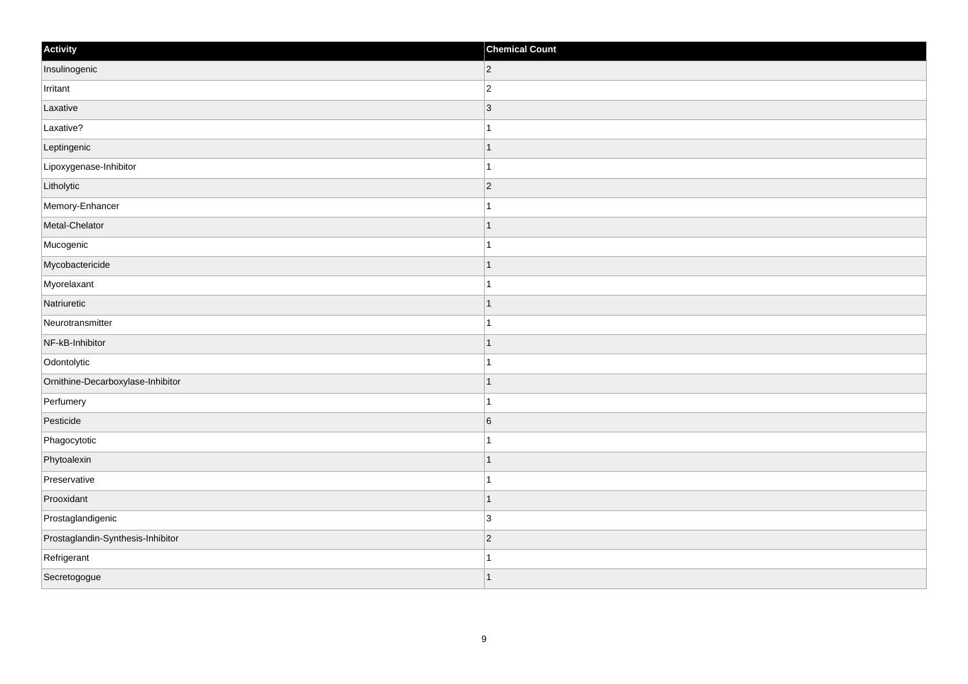| Activity                          | <b>Chemical Count</b> |
|-----------------------------------|-----------------------|
| Insulinogenic                     | $ 2\rangle$           |
| Irritant                          | $\mathbf 2$           |
| Laxative                          | $ 3\rangle$           |
| Laxative?                         | $\mathbf{1}$          |
| Leptingenic                       | $\overline{1}$        |
| Lipoxygenase-Inhibitor            | $\overline{1}$        |
| Litholytic                        | $ 2\rangle$           |
| Memory-Enhancer                   | $\mathbf{1}$          |
| Metal-Chelator                    | $\overline{1}$        |
| Mucogenic                         | $\mathbf{1}$          |
| Mycobactericide                   | $\overline{1}$        |
| Myorelaxant                       | $\overline{1}$        |
| Natriuretic                       | $\mathbf{1}$          |
| Neurotransmitter                  | $\mathbf{1}$          |
| NF-kB-Inhibitor                   | $\overline{1}$        |
| Odontolytic                       | $\mathbf{1}$          |
| Ornithine-Decarboxylase-Inhibitor | $\overline{1}$        |
| Perfumery                         | $\overline{1}$        |
| Pesticide                         | $6\overline{6}$       |
| Phagocytotic                      | $\overline{1}$        |
| Phytoalexin                       | $\overline{1}$        |
| Preservative                      | $\mathbf{1}$          |
| Prooxidant                        | $\mathbf{1}$          |
| Prostaglandigenic                 | 3                     |
| Prostaglandin-Synthesis-Inhibitor | $ 2\rangle$           |
| Refrigerant                       | -1                    |
| Secretogogue                      | $\mathbf{1}$          |